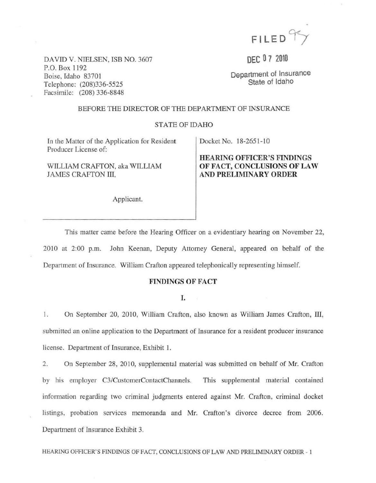

DAVID V. NIELSEN, ISB NO. 3607 P.O. Box 1192 Boise, fdaho 83701 Telephone: (208)336-5525 Facsimile: (208) 336-8848

DEC 0 7 2010

Department of Insurance State of Idaho

#### BEFORE THE DIRECTOR OF THE DEPARTMENT OF INSURANCE

#### STATE OF IDAHO

In the Matter of the Application for Resident Producer License of:

WILLIAM CRAFTON, aka WILLIAM JAMES CRAFTON III.

Applicant.

Docket No. 18-265 1-10

## HEARING OFFICER'S FINDINGS OF FACT, CONCLUSIONS OF LAW AND PRELlMINARY ORDER

This matter came before the Hearing Officer on a evidentiary hearing on November 22, 2010 at 2:00 p.m. John Keenan, Deputy Attorney General, appeared on behalf of the Department of Insurance. William Crafton appeared telephonically representing himself.

## FINDINGS OF FACT

I.

1. On September 20, 2010, William Crafton, also known as William James Crafton, III, submitted an online application to the Department of Insurance for a resident producer insurance license. Department of Insurance, Exhibit 1.

2. On September 28, 2010, supplemental material was submitted on behalf of Mr. Crafton by his employer C3/CustomerContactChannels. This supplemental material contained information regarding two criminal judgments entered against Mr. Crafton, criminal docket listings, probation services memoranda and Mr. Crafton's divorce decree from 2006. Department of Insurance Exhibit 3.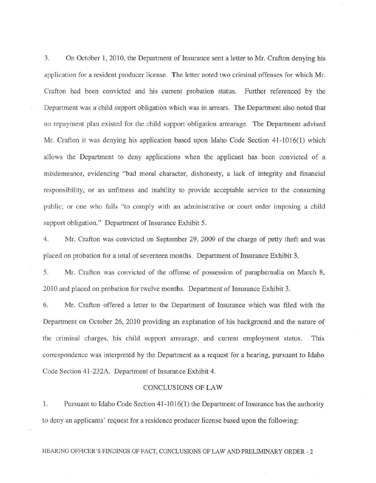3. On October 1, 2010, the Department of Insurance sent a letter to Mr. Crafton denying his application for a resident producer license. The letter noted two criminal offenses for which Mr. Crafton had been convicted and his current probation status. Further referenced by the Department was a child support obligation which was in arrears. The Department also noted that no repayment plan existed for the child support obligation arrearage. The Department advised Mr. Crafton it was denying his application based upon Idaho Code Section 41-1016(1) which allows the Department to deny applications when the applicant has been convicted of a misdemeanor, evidencing "bad moral character, dishonesty, a lack of integrity and financial responsibility, or an unfitness and inability to provide acceptable service to the consuming public; or one who fails "to comply with an administrative or court order imposing a child support obligation." Department of Insurance Exhibit 5.

4. Mr. Crafton was convicted on September 29, 2009 of the charge of petty theft and was placed on probation for a total of seventeen months. Department of Insurance Exhibit 3.

5. Mr. Crafton was convicted of the offense of possession of paraphernalia on March 8, 2010 and placed on probation for twelve months. Department of Insurance Exhibit 3.

6. Mr. Crafton offered a letter to the Department of Insurance which was filed with the Department on October 26, 2010 providing an explanation of his background and the nature of the criminal charges, his child support arrearage, and current employment status. This correspondence was interpreted by the Department as a request for a hearing, pursuant to Idaho Code Section 41-232A. Department of Insurance Exhibit 4.

#### CONCLUSfONS OF LAW

1. Pursuant to Idaho Code Section 41-1016(1) the Department of Insurance has the authority to deny an applicants' request for a residence producer license based upon the following: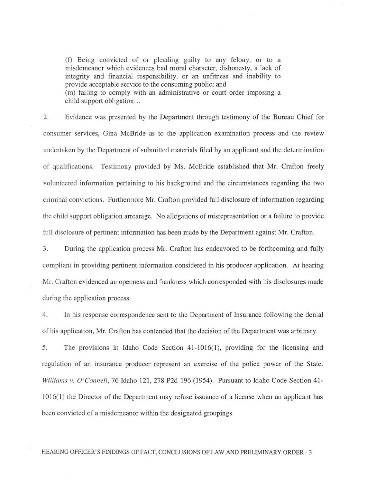(f) Being convicted of or pleading guilty to any felony, or to a misdemeanor which evidences bad moral character, dishonesty, a lack of integrity and financial responsibility, or an unfitness and inability to provide acceptable service to the consuming public; and (m) failing to comply with an administrative or court order imposing a child support obligation...

2. Evidence was presented by the Department through testimony of the Bureau Chief for consumer services, Gina McBride as to the application examination process and the review undertaken by the Department of submitted materials filed by an applicant and the determination of qua lifications. Testimony provided by Ms. McBride established that Mr. Crafton freely volunteered information pertaining to his background and the circumstances regarding the two criminal convictions. Furthermore Mr. Crafton provided full disclosure of information regarding the child support obligation arrearage. No allegations of misrepresentation or a failure to provide full disclosure of pertinent information has been made by the Department against Mr. Crafton.

3. During the application process Mr. Crafton has endeavored to be forthcoming and fully compliant in providing pertinent infonnation considered in his producer application. At hearing Mr. Crafton evidenced an openness and frankness which corresponded with his disclosures made during the application process.

4. In his response correspondence sent to the Department of Insurance following the denial of his application, Mr. Crafton has contended that the decision of the Department was arbitrary.

5. The provisions in Idaho Code Section 41-1016(1), providing for the licensing and regulation of an insurance producer represent an exercise of the police power of the State. *Williams v. O'Connell*, 76 Idaho 121, 278 P2d 196 (1954). Pursuant to Idaho Code Section 41-10 16( I) the Director of the Department may refuse issuance of a license when an applicant has been convicted of a misdemeanor within the designated groupings.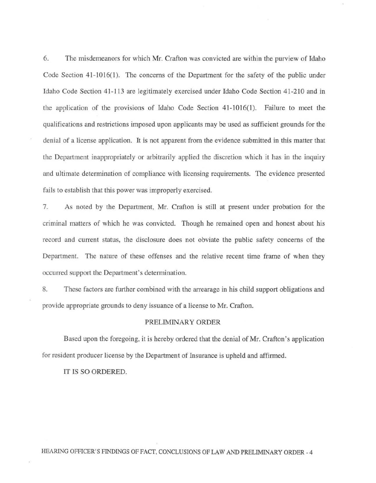6. The misdemeanors for which Mr. Crafton was convicted are within the purview of Idaho Code Section 41-1016(1). The concerns of the Department for the safety of the public under Idaho Code Section 41-113 are legitimately exercised under Idaho Code Section 41-210 and in the application of the provisions of Idaho Code Section  $41-1016(1)$ . Failure to meet the qualifications and restrictions imposed upon applicants may be used as sufficient grounds for the denial of a license application. It is not apparent from the evidence submitted in this matter that the Department inappropriately or arbitrarily applied the discretion which it has in the inquiry and ultimate determination of compliance with licensing requirements. The evidence presented fails to establish that this power was improperly exercised.

7. As noted by the Department, Mr. Crafton is still at present under probation for the criminal matters of which he was convicted. Though he remained open and honest about his record and current status, the disclosure does not obviate the public safety concerns of the Department. The nature of these offenses and the relative recent time frame of when they occurred support the Department's determination.

8. These factors are further combined with the arrearage in his child support obligations and provide appropriate grounds to deny issuance of a license to Mr. Crafton.

#### PRELIMiNARY ORDER

Based upon the foregoing, it is hereby ordered that the denial of Mr. Crafton's application for resident producer license by the Department of Insurance is upheld and affinned.

IT IS SO ORDERED.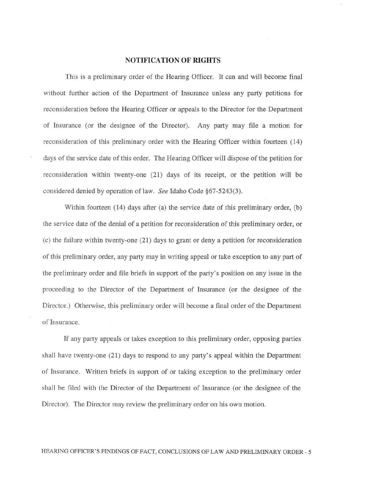### NOTIFICATION OF RIGHTS

This is a preliminary order of the Hearing Officer. It can and will become final without further action of the Department of Insurance unless any party petitions for reconsideration before the Hearing Officer or appeals to the Director for the Department of Insurance (or the designee of the Director). Any party may file a motion for reconsideration of this preliminary order with the Hearing Officer within fourteen (14) days of the service date of this order. The Hearing Officer will dispose of the petition for reconsideration within twenty-one (21) days of its receipt, or the petition will be considered denied by operation of law. *See* Idaho Code §67·5243(3).

Within fourteen (14) days after (a) the service date of this preliminary order, (b) the service date of the denial of a petition for reconsideration of this preliminary order, or (c) the failure within twenty·one (21) days to grant or deny a petition for reconsideration of this preliminary order, any party may in writing appeal or take exception to any part of the preliminary order and file briefs in support of the party's position on any issue in the proceeding to the Director of the Department of Insurance (or the designee of the Director.) Otherwise, this preliminary order will become a final order of the Department of Insurance.

If any party appeals or takes exception to this preliminary order, opposing panies shall have twenty-one  $(21)$  days to respond to any party's appeal within the Department of Insurance. Written briefs in support of or taking exception to the preliminary order shall be filed with the Director of the Department of Insurance (or the designee of the Director). The Director may review the preliminary order on his own motion.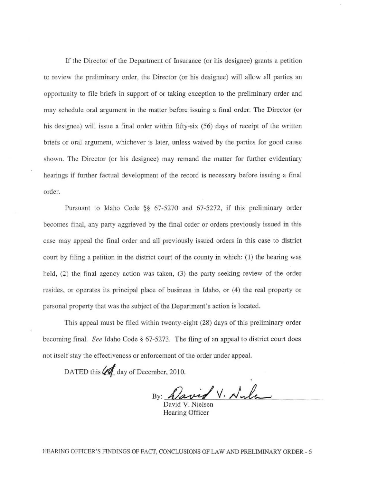Lf the Director of the Department of Insurance (or his designee) grants a petition to review the preliminary order, the Director (or his designee) will allow all parties an opportunity to file briefs in support of or taking exception to the preliminary order and may schedule oral argument in the matter before issuing a final order. The Director (or his designee) will issue a final order within fifty-six (56) days of receipt of the written briefs or oral argument, whichever is later, unless waived by the parties for good cause shown. The Director (or his designee) may remand the matter for further evidentiary hearings if further factual development of the record is necessary before issuing a final order.

Pursuant to Idaho Code §§ 67-5270 and 67-5272, if this preliminary order becomes final, any party aggrieved by the final order or orders previously issued in this case may appeal the final order and all previously issued orders in this case to district court by filing a petition in the district court of the county in which: (1) the hearing was held,  $(2)$  the final agency action was taken,  $(3)$  the party seeking review of the order resides, or operates its principal place of business in Idaho, or  $(4)$  the real property or personal properly that was the subject of the Department's action is located.

This appeal must be filed within twenty-eight (28) days of this preliminary order becoming final. *See* Idaho Code § 67-5273. The fling of an appeal to district court does not itself stay the effectiveness or enforcement of the order under appeal.

DATED this  $\mathcal{U}_1$  day of December, 2010.

By: David V. Nula

David V. Nielsen Hearing Officer